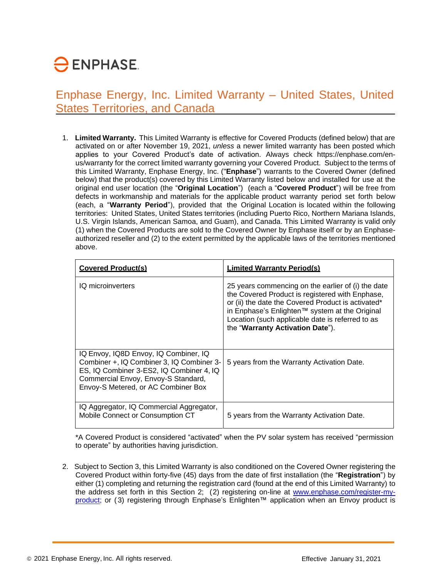# $\ominus$  ENPHASE.

Enphase Energy, Inc. Limited Warranty – United States, United States Territories, and Canada

1. **Limited Warranty.** This Limited Warranty is effective for Covered Products (defined below) that are activated on or after November 19, 2021, *unless* a newer limited warranty has been posted which applies to your Covered Product's date of activation. Always check https://enphase.com/enus/warranty for the correct limited warranty governing your Covered Product. Subject to the terms of this Limited Warranty, Enphase Energy, Inc. ("**Enphase**") warrants to the Covered Owner (defined below) that the product(s) covered by this Limited Warranty listed below and installed for use at the original end user location (the "**Original Location**") (each a "**Covered Product**") will be free from defects in workmanship and materials for the applicable product warranty period set forth below (each, a "**Warranty Period**"), provided that the Original Location is located within the following territories: United States, United States territories (including Puerto Rico, Northern Mariana Islands, U.S. Virgin Islands, American Samoa, and Guam), and Canada. This Limited Warranty is valid only (1) when the Covered Products are sold to the Covered Owner by Enphase itself or by an Enphaseauthorized reseller and (2) to the extent permitted by the applicable laws of the territories mentioned above.

| <b>Covered Product(s)</b>                                                                                                                                                                                    | <b>Limited Warranty Period(s)</b>                                                                                                                                                                                                                                                                     |
|--------------------------------------------------------------------------------------------------------------------------------------------------------------------------------------------------------------|-------------------------------------------------------------------------------------------------------------------------------------------------------------------------------------------------------------------------------------------------------------------------------------------------------|
| IQ microinverters                                                                                                                                                                                            | 25 years commencing on the earlier of (i) the date<br>the Covered Product is registered with Enphase,<br>or (ii) the date the Covered Product is activated*<br>in Enphase's Enlighten™ system at the Original<br>Location (such applicable date is referred to as<br>the "Warranty Activation Date"). |
| IQ Envoy, IQ8D Envoy, IQ Combiner, IQ<br>Combiner +, IQ Combiner 3, IQ Combiner 3-<br>ES, IQ Combiner 3-ES2, IQ Combiner 4, IQ<br>Commercial Envoy, Envoy-S Standard,<br>Envoy-S Metered, or AC Combiner Box | 5 years from the Warranty Activation Date.                                                                                                                                                                                                                                                            |
| IQ Aggregator, IQ Commercial Aggregator,<br>Mobile Connect or Consumption CT                                                                                                                                 | 5 years from the Warranty Activation Date.                                                                                                                                                                                                                                                            |

\*A Covered Product is considered "activated" when the PV solar system has received "permission to operate" by authorities having jurisdiction.

2. Subject to Section 3, this Limited Warranty is also conditioned on the Covered Owner registering the Covered Product within forty-five (45) days from the date of first installation (the "**Registration**") by either (1) completing and returning the registration card (found at the end of this Limited Warranty) to the address set forth in this Section 2; (2) registering on-line at [www.enphase.com/register-my](http://www.enphase.com/register-my-product)[product;](http://www.enphase.com/register-my-product) or (3) registering through Enphase's Enlighten™ application when an Envoy product is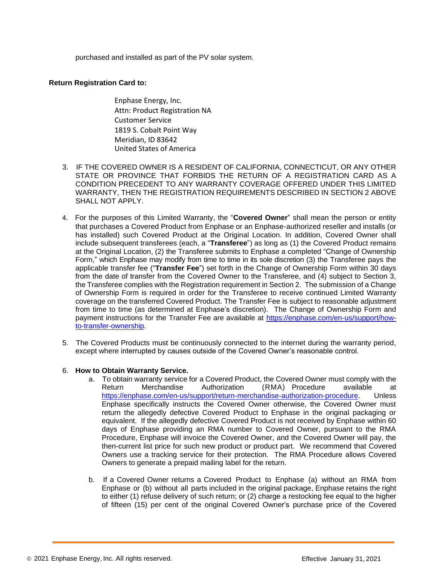purchased and installed as part of the PV solar system.

### **Return Registration Card to:**

Enphase Energy, Inc. Attn: Product Registration NA Customer Service 1819 S. Cobalt Point Way Meridian, ID 83642 United States of America

- 3. IF THE COVERED OWNER IS A RESIDENT OF CALIFORNIA, CONNECTICUT, OR ANY OTHER STATE OR PROVINCE THAT FORBIDS THE RETURN OF A REGISTRATION CARD AS A CONDITION PRECEDENT TO ANY WARRANTY COVERAGE OFFERED UNDER THIS LIMITED WARRANTY, THEN THE REGISTRATION REQUIREMENTS DESCRIBED IN SECTION 2 ABOVE SHALL NOT APPLY.
- 4. For the purposes of this Limited Warranty, the "**Covered Owner**" shall mean the person or entity that purchases a Covered Product from Enphase or an Enphase-authorized reseller and installs (or has installed) such Covered Product at the Original Location. In addition, Covered Owner shall include subsequent transferees (each, a "**Transferee**") as long as (1) the Covered Product remains at the Original Location, (2) the Transferee submits to Enphase a completed "Change of Ownership Form," which Enphase may modify from time to time in its sole discretion (3) the Transferee pays the applicable transfer fee ("**Transfer Fee**") set forth in the Change of Ownership Form within 30 days from the date of transfer from the Covered Owner to the Transferee, and (4) subject to Section 3, the Transferee complies with the Registration requirement in Section 2. The submission of a Change of Ownership Form is required in order for the Transferee to receive continued Limited Warranty coverage on the transferred Covered Product. The Transfer Fee is subject to reasonable adjustment from time to time (as determined at Enphase's discretion). The Change of Ownership Form and payment instructions for the Transfer Fee are available at [https://enphase.com/en-us/support/how](https://enphase.com/en-us/support/how-to-transfer-ownership)[to-transfer-ownership.](https://enphase.com/en-us/support/how-to-transfer-ownership)
- 5. The Covered Products must be continuously connected to the internet during the warranty period, except where interrupted by causes outside of the Covered Owner's reasonable control.

#### 6. **How to Obtain Warranty Service.**

- a. To obtain warranty service for a Covered Product, the Covered Owner must comply with the Return Merchandise Authorization (RMA) Procedure available at [https://enphase.com/en-us/support/return-merchandise-authorization-procedure.](https://enphase.com/en-us/support/return-merchandise-authorization-procedure) Unless [Enphase specifically instructs the Covered Owner otherwise, the Covered Owner must](https://enphase.com/en-us/support/return-merchandise-authorization-procedure)  return [the allegedly defective Covered Product to Enphase in the original packaging or](https://enphase.com/en-us/support/return-merchandise-authorization-procedure)  [equivalent. If the allegedly defective Covered Product is not received by Enphase within 60](https://enphase.com/en-us/support/return-merchandise-authorization-procedure)  [days of Enphase providing an RMA number to Covered Owner, pursuant to the RMA](https://enphase.com/en-us/support/return-merchandise-authorization-procedure)  [Procedure, Enphase will invoice the Covered Owner, and the Covered Owner will pay, the](https://enphase.com/en-us/support/return-merchandise-authorization-procedure)  then-current list price for such [new product or product part. We](https://enphase.com/en-us/support/return-merchandise-authorization-procedure) recommend that Covered Owners use a tracking service for [their protection.](https://enphase.com/en-us/support/return-merchandise-authorization-procedure) The RMA Procedure allows Covered Owners to generate a prepaid mailing label for the return.
- b. If a Covered Owner returns a Covered Product to Enphase (a) without an RMA from Enphase or (b) without all parts included in the original package, Enphase retains the right to either (1) refuse delivery of such return; or (2) charge a restocking fee equal to the higher of fifteen (15) per cent of the original Covered Owner's purchase price of the Covered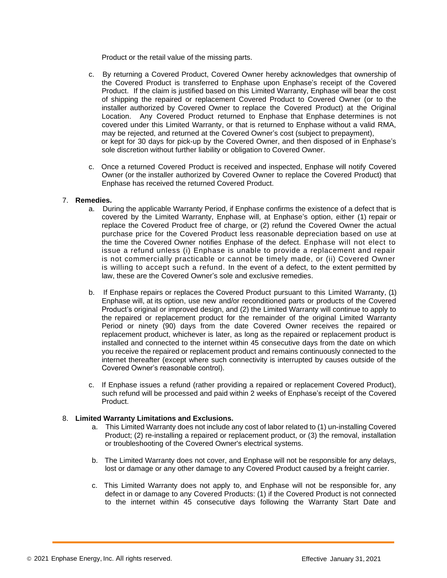Product or the retail value of the missing parts.

- c. By returning a Covered Product, Covered Owner hereby acknowledges that ownership of the Covered Product is transferred to Enphase upon Enphase's receipt of the Covered Product. If the claim is justified based on this Limited Warranty, Enphase will bear the cost of shipping the repaired or replacement Covered Product to Covered Owner (or to the installer authorized by Covered Owner to replace the Covered Product) at the Original Location. Any Covered Product returned to Enphase that Enphase determines is not covered under this Limited Warranty, or that is returned to Enphase without a valid RMA, may be rejected, and returned at the Covered Owner's cost (subject to prepayment), or kept for 30 days for pick-up by the Covered Owner, and then disposed of in Enphase's sole discretion without further liability or obligation to Covered Owner.
- c. Once a returned Covered Product is received and inspected, Enphase will notify Covered Owner (or the installer authorized by Covered Owner to replace the Covered Product) that Enphase has received the returned Covered Product.

#### 7. **Remedies.**

- a. During the applicable Warranty Period, if Enphase confirms the existence of a defect that is covered by the Limited Warranty, Enphase will, at Enphase's option, either (1) repair or replace the Covered Product free of charge, or (2) refund the Covered Owner the actual purchase price for the Covered Product less reasonable depreciation based on use at the time the Covered Owner notifies Enphase of the defect. Enphase will not elect to issue a refund unless (i) Enphase is unable to provide a replacement and repair is not commercially practicable or cannot be timely made, or (ii) Covered Owner is willing to accept such a refund. In the event of a defect, to the extent permitted by law, these are the Covered Owner's sole and exclusive remedies.
- b. If Enphase repairs or replaces the Covered Product pursuant to this Limited Warranty, (1) Enphase will, at its option, use new and/or reconditioned parts or products of the Covered Product's original or improved design, and (2) the Limited Warranty will continue to apply to the repaired or replacement product for the remainder of the original Limited Warranty Period or ninety (90) days from the date Covered Owner receives the repaired or replacement product, whichever is later, as long as the repaired or replacement product is installed and connected to the internet within 45 consecutive days from the date on which you receive the repaired or replacement product and remains continuously connected to the internet thereafter (except where such connectivity is interrupted by causes outside of the Covered Owner's reasonable control).
- c. If Enphase issues a refund (rather providing a repaired or replacement Covered Product), such refund will be processed and paid within 2 weeks of Enphase's receipt of the Covered Product.

#### 8. **Limited Warranty Limitations and Exclusions.**

- a. This Limited Warranty does not include any cost of labor related to (1) un-installing Covered Product; (2) re-installing a repaired or replacement product, or (3) the removal, installation or troubleshooting of the Covered Owner's electrical systems.
- b. The Limited Warranty does not cover, and Enphase will not be responsible for any delays, lost or damage or any other damage to any Covered Product caused by a freight carrier.
- c. This Limited Warranty does not apply to, and Enphase will not be responsible for, any defect in or damage to any Covered Products: (1) if the Covered Product is not connected to the internet within 45 consecutive days following the Warranty Start Date and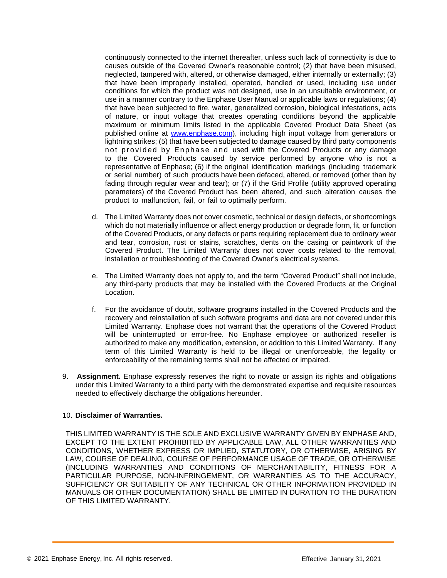continuously connected to the internet thereafter, unless such lack of connectivity is due to causes outside of the Covered Owner's reasonable control; (2) that have been misused, neglected, tampered with, altered, or otherwise damaged, either internally or externally; (3) that have been improperly installed, operated, handled or used, including use under conditions for which the product was not designed, use in an unsuitable environment, or use in a manner contrary to the Enphase User Manual or applicable laws or regulations; (4) that have been subjected to fire, water, generalized corrosion, biological infestations, acts of nature, or input voltage that creates operating conditions beyond the applicable maximum or minimum limits listed in the applicable Covered Product Data Sheet (as published online at [www.enphase.com\)](http://www.enphase.com/), including high input voltage from generators or lightning strikes; (5) that have been subjected to damage caused by third party components not provided by Enphase and used with the Covered Products or any damage to the Covered Products caused by service performed by anyone who is not a representative of Enphase; (6) if the original identification markings (including trademark or serial number) of such products have been defaced, altered, or removed (other than by fading through regular wear and tear); or (7) if the Grid Profile (utility approved operating parameters) of the Covered Product has been altered, and such alteration causes the product to malfunction, fail, or fail to optimally perform.

- d. The Limited Warranty does not cover cosmetic, technical or design defects, or shortcomings which do not materially influence or affect energy production or degrade form, fit, or function of the Covered Products, or any defects or parts requiring replacement due to ordinary wear and tear, corrosion, rust or stains, scratches, dents on the casing or paintwork of the Covered Product. The Limited Warranty does not cover costs related to the removal, installation or troubleshooting of the Covered Owner's electrical systems.
- e. The Limited Warranty does not apply to, and the term "Covered Product" shall not include, any third-party products that may be installed with the Covered Products at the Original Location.
- f. For the avoidance of doubt, software programs installed in the Covered Products and the recovery and reinstallation of such software programs and data are not covered under this Limited Warranty. Enphase does not warrant that the operations of the Covered Product will be uninterrupted or error-free. No Enphase employee or authorized reseller is authorized to make any modification, extension, or addition to this Limited Warranty. If any term of this Limited Warranty is held to be illegal or unenforceable, the legality or enforceability of the remaining terms shall not be affected or impaired.
- 9. **Assignment.** Enphase expressly reserves the right to novate or assign its rights and obligations under this Limited Warranty to a third party with the demonstrated expertise and requisite resources needed to effectively discharge the obligations hereunder.

#### 10. **Disclaimer of Warranties.**

THIS LIMITED WARRANTY IS THE SOLE AND EXCLUSIVE WARRANTY GIVEN BY ENPHASE AND, EXCEPT TO THE EXTENT PROHIBITED BY APPLICABLE LAW, ALL OTHER WARRANTIES AND CONDITIONS, WHETHER EXPRESS OR IMPLIED, STATUTORY, OR OTHERWISE, ARISING BY LAW, COURSE OF DEALING, COURSE OF PERFORMANCE USAGE OF TRADE, OR OTHERWISE (INCLUDING WARRANTIES AND CONDITIONS OF MERCHANTABILITY, FITNESS FOR A PARTICULAR PURPOSE, NON-INFRINGEMENT, OR WARRANTIES AS TO THE ACCURACY, SUFFICIENCY OR SUITABILITY OF ANY TECHNICAL OR OTHER INFORMATION PROVIDED IN MANUALS OR OTHER DOCUMENTATION) SHALL BE LIMITED IN DURATION TO THE DURATION OF THIS LIMITED WARRANTY.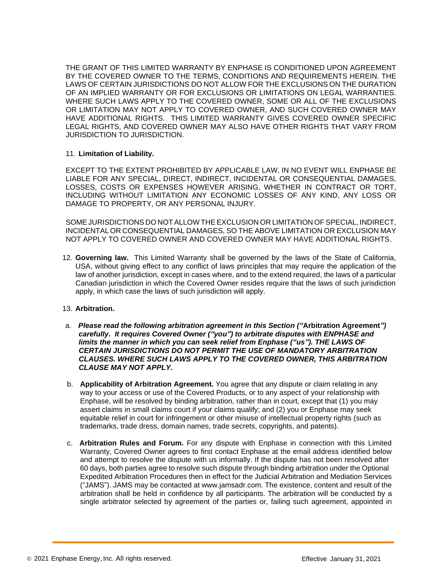THE GRANT OF THIS LIMITED WARRANTY BY ENPHASE IS CONDITIONED UPON AGREEMENT BY THE COVERED OWNER TO THE TERMS, CONDITIONS AND REQUIREMENTS HEREIN. THE LAWS OF CERTAIN JURISDICTIONS DO NOT ALLOW FOR THE EXCLUSIONS ON THE DURATION OF AN IMPLIED WARRANTY OR FOR EXCLUSIONS OR LIMITATIONS ON LEGAL WARRANTIES. WHERE SUCH LAWS APPLY TO THE COVERED OWNER, SOME OR ALL OF THE EXCLUSIONS OR LIMITATION MAY NOT APPLY TO COVERED OWNER, AND SUCH COVERED OWNER MAY HAVE ADDITIONAL RIGHTS. THIS LIMITED WARRANTY GIVES COVERED OWNER SPECIFIC LEGAL RIGHTS, AND COVERED OWNER MAY ALSO HAVE OTHER RIGHTS THAT VARY FROM JURISDICTION TO JURISDICTION.

#### 11. **Limitation of Liability.**

EXCEPT TO THE EXTENT PROHIBITED BY APPLICABLE LAW, IN NO EVENT WILL ENPHASE BE LIABLE FOR ANY SPECIAL, DIRECT, INDIRECT, INCIDENTAL OR CONSEQUENTIAL DAMAGES, LOSSES, COSTS OR EXPENSES HOWEVER ARISING, WHETHER IN CONTRACT OR TORT, INCLUDING WITHOUT LIMITATION ANY ECONOMIC LOSSES OF ANY KIND, ANY LOSS OR DAMAGE TO PROPERTY, OR ANY PERSONAL INJURY.

SOMEJURISDICTIONS DO NOTALLOW THEEXCLUSION OR LIMITATION OF SPECIAL, INDIRECT, INCIDENTAL OR CONSEQUENTIAL DAMAGES, SO THE ABOVE LIMITATION OR EXCLUSION MAY NOT APPLY TO COVERED OWNER AND COVERED OWNER MAY HAVE ADDITIONAL RIGHTS.

12. **Governing law.** This Limited Warranty shall be governed by the laws of the State of California, USA, without giving effect to any conflict of laws principles that may require the application of the law of another jurisdiction, except in cases where, and to the extend required, the laws of a particular Canadian jurisdiction in which the Covered Owner resides require that the laws of such jurisdiction apply, in which case the laws of such jurisdiction will apply.

#### 13. **Arbitration.**

- a. *Please read the following arbitration agreement in this Section ("***Arbitration Agreement***") carefully. It requires Covered Owner ("you") to arbitrate disputes with ENPHASE and limits the manner in which you can seek relief from Enphase ("us"). THE LAWS OF CERTAIN JURISDICTIONS DO NOT PERMIT THE USE OF MANDATORY ARBITRATION CLAUSES. WHERE SUCH LAWS APPLY TO THE COVERED OWNER, THIS ARBITRATION CLAUSE MAY NOT APPLY.*
- b. **Applicability of Arbitration Agreement***.* You agree that any dispute or claim relating in any way to your access or use of the Covered Products, or to any aspect of your relationship with Enphase, will be resolved by binding arbitration, rather than in court, except that (1) you may assert claims in small claims court if your claims qualify; and (2) you or Enphase may seek equitable relief in court for infringement or other misuse of intellectual property rights (such as trademarks, trade dress, domain names, trade secrets, copyrights, and patents).
- c. **Arbitration Rules and Forum.** For any dispute with Enphase in connection with this Limited Warranty, Covered Owner agrees to first contact Enphase at the email address identified below and attempt to resolve the dispute with us informally. If the dispute has not been resolved after 60 days, both parties agree to resolve such dispute through binding arbitration under the Optional Expedited Arbitration Procedures then in effect for the Judicial Arbitration and Mediation Services ("JAMS"). JAMS may be contacted at [www.jamsadr.com.](http://www.jamsadr.com/) The existence, content and result of the arbitration shall be held in confidence by all participants. The arbitration will be conducted by a single arbitrator selected by agreement of the parties or, failing such agreement, appointed in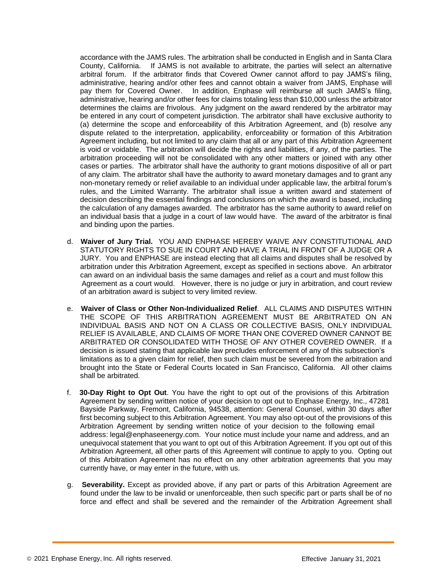accordance with the JAMS rules. The arbitration shall be conducted in English and in Santa Clara County, California. If JAMS is not available to arbitrate, the parties will select an alternative arbitral forum. If the arbitrator finds that Covered Owner cannot afford to pay JAMS's filing, administrative, hearing and/or other fees and cannot obtain a waiver from JAMS, Enphase will pay them for Covered Owner. In addition, Enphase will reimburse all such JAMS's filing, administrative, hearing and/or other fees for claims totaling less than \$10,000 unless the arbitrator determines the claims are frivolous. Any judgment on the award rendered by the arbitrator may be entered in any court of competent jurisdiction. The arbitrator shall have exclusive authority to (a) determine the scope and enforceability of this Arbitration Agreement, and (b) resolve any dispute related to the interpretation, applicability, enforceability or formation of this Arbitration Agreement including, but not limited to any claim that all or any part of this Arbitration Agreement is void or voidable. The arbitration will decide the rights and liabilities, if any, of the parties. The arbitration proceeding will not be consolidated with any other matters or joined with any other cases or parties. The arbitrator shall have the authority to grant motions dispositive of all or part of any claim. The arbitrator shall have the authority to award monetary damages and to grant any non-monetary remedy or relief available to an individual under applicable law, the arbitral forum's rules, and the Limited Warranty. The arbitrator shall issue a written award and statement of decision describing the essential findings and conclusions on which the award is based, including the calculation of any damages awarded. The arbitrator has the same authority to award relief on an individual basis that a judge in a court of law would have. The award of the arbitrator is final and binding upon the parties.

- d. **Waiver of Jury Trial.** YOU AND ENPHASE HEREBY WAIVE ANY CONSTITUTIONAL AND STATUTORY RIGHTS TO SUE IN COURT AND HAVE A TRIAL IN FRONT OF A JUDGE OR A JURY. You and ENPHASE are instead electing that all claims and disputes shall be resolved by arbitration under this Arbitration Agreement, except as specified in sections above. An arbitrator can award on an individual basis the same damages and relief as a court and must follow this Agreement as a court would. However, there is no judge or jury in arbitration, and court review of an arbitration award is subject to very limited review.
- e. **Waiver of Class or Other Non-Individualized Relief**. ALL CLAIMS AND DISPUTES WITHIN THE SCOPE OF THIS ARBITRATION AGREEMENT MUST BE ARBITRATED ON AN INDIVIDUAL BASIS AND NOT ON A CLASS OR COLLECTIVE BASIS, ONLY INDIVIDUAL RELIEF IS AVAILABLE, AND CLAIMS OF MORE THAN ONE COVERED OWNER CANNOT BE ARBITRATED OR CONSOLIDATED WITH THOSE OF ANY OTHER COVERED OWNER. If a decision is issued stating that applicable law precludes enforcement of any of this subsection's limitations as to a given claim for relief, then such claim must be severed from the arbitration and brought into the State or Federal Courts located in San Francisco, California. All other claims shall be arbitrated.
- f. **30-Day Right to Opt Out**. You have the right to opt out of the provisions of this Arbitration Agreement by sending written notice of your decision to opt out to Enphase Energy, Inc., 47281 Bayside Parkway, Fremont, California, 94538, attention: General Counsel, within 30 days after first becoming subject to this Arbitration Agreement. You may also opt-out of the provisions of this Arbitration Agreement by sending written notice of your decision to the following email address: [legal@enphaseenergy.com.](mailto:legal@enphaseenergy.com) Your notice must include your name and address, and an unequivocal statement that you want to opt out of this Arbitration Agreement. If you opt out of this Arbitration Agreement, all other parts of this Agreement will continue to apply to you. Opting out of this Arbitration Agreement has no effect on any other arbitration agreements that you may currently have, or may enter in the future, with us.
- g. **Severability.** Except as provided above, if any part or parts of this Arbitration Agreement are found under the law to be invalid or unenforceable, then such specific part or parts shall be of no force and effect and shall be severed and the remainder of the Arbitration Agreement shall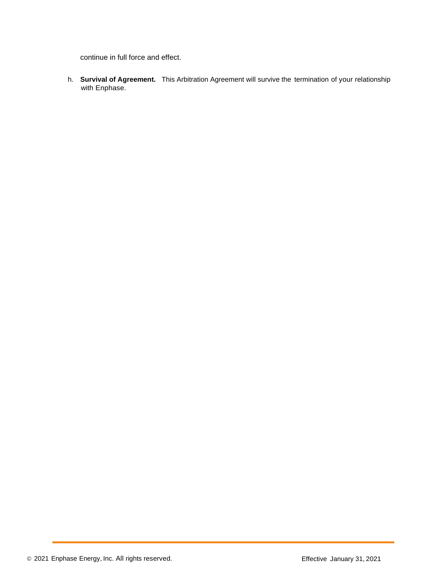continue in full force and effect.

h. **Survival of Agreement.** This Arbitration Agreement will survive the termination of your relationship with Enphase.